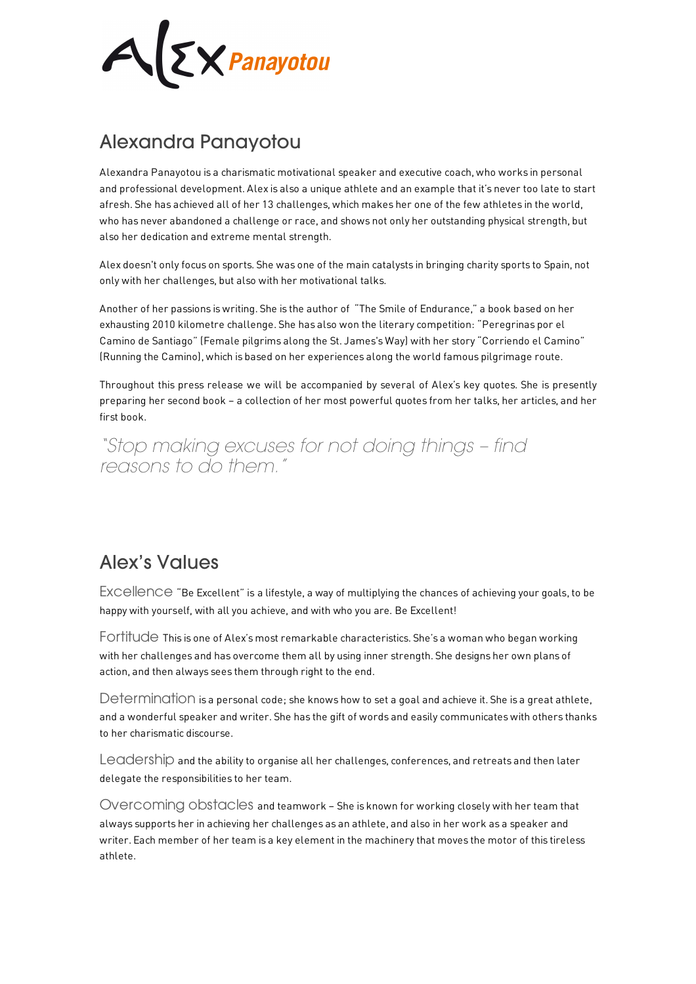**EX** Panayotou

## Alexandra Panayotou

Alexandra Panayotou is a charismatic motivational speaker and executive coach, who works in personal and professional development. Alex is also a unique athlete and an example that it's never too late to start afresh. She has achieved all of her 13 challenges, which makes her one of the few athletes in the world, who has never abandoned a challenge or race, and shows not only her outstanding physical strength, but also her dedication and extreme mental strength.

Alex doesn't only focus on sports. She was one of the main catalysts in bringing charity sports to Spain, not only with her challenges, but also with her motivational talks.

Another of her passions is writing. She is the author of "The Smile of Endurance," a book based on her exhausting 2010 kilometre challenge. She has also won the literary competition: "Peregrinas por el Camino de Santiago" (Female pilgrims along the St. James's Way) with her story "Corriendo el Camino" (Running the Camino), which is based on her experiences along the world famous pilgrimage route.

Throughout this press release we will be accompanied by several of Alex's key quotes. She is presently preparing her second book – a collection of her most powerful quotes from her talks, her articles, and her first book.

*"Stop making excuses for not doing things – find reasons to do them."*

## Alex's Values

Excellence "Be Excellent" is a lifestyle, a way of multiplying the chances of achieving your goals, to be happy with yourself, with all you achieve, and with who you are. Be Excellent!

Fortitude This is one of Alex's most remarkable characteristics. She's a woman who began working with her challenges and has overcome them all by using inner strength. She designs her own plans of action, and then always sees them through right to the end.

Determination is a personal code; she knows how to set a goal and achieve it. She is a great athlete, and a wonderful speaker and writer. She has the gift of words and easily communicates with others thanks to her charismatic discourse.

Leadership and the ability to organise all her challenges, conferences, and retreats and then later delegate the responsibilities to her team.

Overcoming obstacles and teamwork – She is known for working closely with her team that always supports her in achieving her challenges as an athlete, and also in her work as a speaker and writer. Each member of her team is a key element in the machinery that moves the motor of this tireless athlete.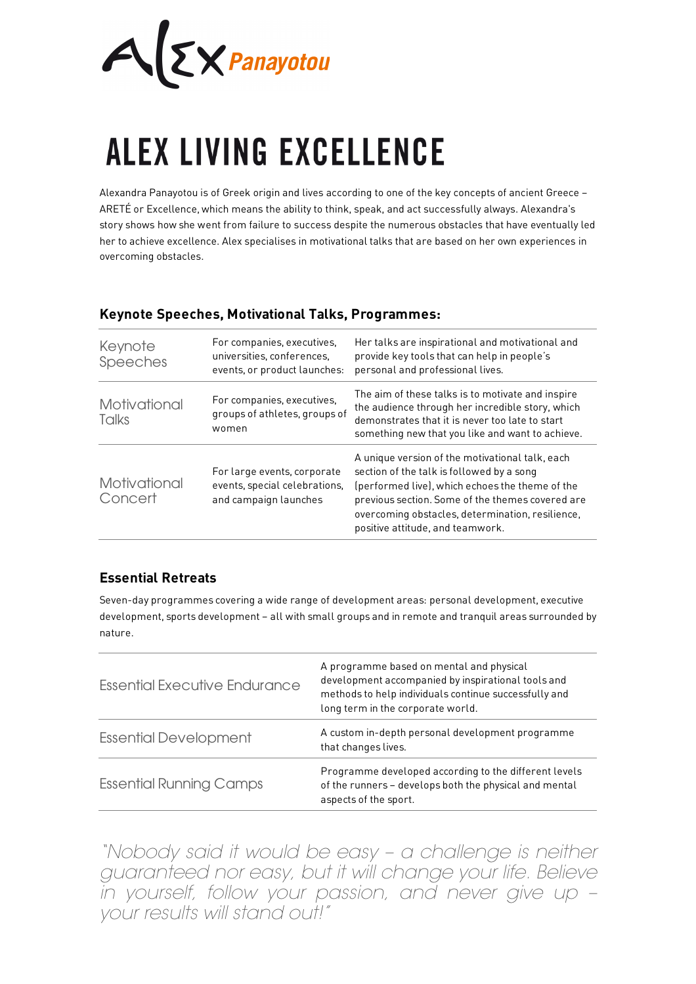$A$  $\Sigma$ *X Panayotou* 

# **ALEX LIVING EXCELLENCE**

Alexandra Panayotou is of Greek origin and lives according to one of the key concepts of ancient Greece – ARETÉ or Excellence, which means the ability to think, speak, and act successfully always. Alexandra's story shows how she went from failure to success despite the numerous obstacles that have eventually led her to achieve excellence. Alex specialises in motivational talks that are based on her own experiences in overcoming obstacles.

#### **Keynote Speeches, Motivational Talks, Programmes:**

| Keynote<br>Speeches     | For companies, executives,<br>universities, conferences,<br>events, or product launches: | Her talks are inspirational and motivational and<br>provide key tools that can help in people's<br>personal and professional lives.                                                                                                                                                         |
|-------------------------|------------------------------------------------------------------------------------------|---------------------------------------------------------------------------------------------------------------------------------------------------------------------------------------------------------------------------------------------------------------------------------------------|
| Motivational<br>Talks   | For companies, executives,<br>groups of athletes, groups of<br>women                     | The aim of these talks is to motivate and inspire<br>the audience through her incredible story, which<br>demonstrates that it is never too late to start<br>something new that you like and want to achieve.                                                                                |
| Motivational<br>Concert | For large events, corporate<br>events, special celebrations.<br>and campaign launches    | A unique version of the motivational talk, each<br>section of the talk is followed by a song<br>(performed live), which echoes the theme of the<br>previous section. Some of the themes covered are<br>overcoming obstacles, determination, resilience,<br>positive attitude, and teamwork. |

### **Essential Retreats**

Seven-day programmes covering a wide range of development areas: personal development, executive development, sports development – all with small groups and in remote and tranquil areas surrounded by nature.

| Essential Executive Endurance  | A programme based on mental and physical<br>development accompanied by inspirational tools and<br>methods to help individuals continue successfully and<br>long term in the corporate world. |
|--------------------------------|----------------------------------------------------------------------------------------------------------------------------------------------------------------------------------------------|
| <b>Essential Development</b>   | A custom in-depth personal development programme<br>that changes lives.                                                                                                                      |
| <b>Essential Running Camps</b> | Programme developed according to the different levels<br>of the runners - develops both the physical and mental<br>aspects of the sport.                                                     |

*"Nobody said it would be easy – a challenge is neither guaranteed nor easy, but it will change your life. Believe in yourself, follow your passion, and never give up – your results will stand out!"*